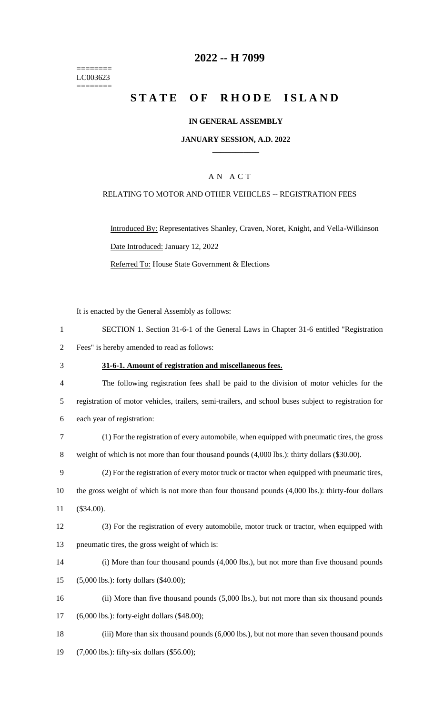======== LC003623 ========

### **2022 -- H 7099**

# **STATE OF RHODE ISLAND**

### **IN GENERAL ASSEMBLY**

### **JANUARY SESSION, A.D. 2022 \_\_\_\_\_\_\_\_\_\_\_\_**

### A N A C T

### RELATING TO MOTOR AND OTHER VEHICLES -- REGISTRATION FEES

Introduced By: Representatives Shanley, Craven, Noret, Knight, and Vella-Wilkinson Date Introduced: January 12, 2022 Referred To: House State Government & Elections

It is enacted by the General Assembly as follows:

| SECTION 1. Section 31-6-1 of the General Laws in Chapter 31-6 entitled "Registration" |
|---------------------------------------------------------------------------------------|
| Fees" is hereby amended to read as follows:                                           |

### 3 **31-6-1. Amount of registration and miscellaneous fees.**

- 4 The following registration fees shall be paid to the division of motor vehicles for the 5 registration of motor vehicles, trailers, semi-trailers, and school buses subject to registration for 6 each year of registration:
- 7 (1) For the registration of every automobile, when equipped with pneumatic tires, the gross 8 weight of which is not more than four thousand pounds (4,000 lbs.): thirty dollars (\$30.00).
- 9 (2) For the registration of every motor truck or tractor when equipped with pneumatic tires,
- 10 the gross weight of which is not more than four thousand pounds (4,000 lbs.): thirty-four dollars 11 (\$34.00).
- 12 (3) For the registration of every automobile, motor truck or tractor, when equipped with 13 pneumatic tires, the gross weight of which is:
- 14 (i) More than four thousand pounds (4,000 lbs.), but not more than five thousand pounds
- 15 (5,000 lbs.): forty dollars (\$40.00);
- 16 (ii) More than five thousand pounds (5,000 lbs.), but not more than six thousand pounds
- 17 (6,000 lbs.): forty-eight dollars (\$48.00);
- 18 (iii) More than six thousand pounds (6,000 lbs.), but not more than seven thousand pounds
- 19 (7,000 lbs.): fifty-six dollars (\$56.00);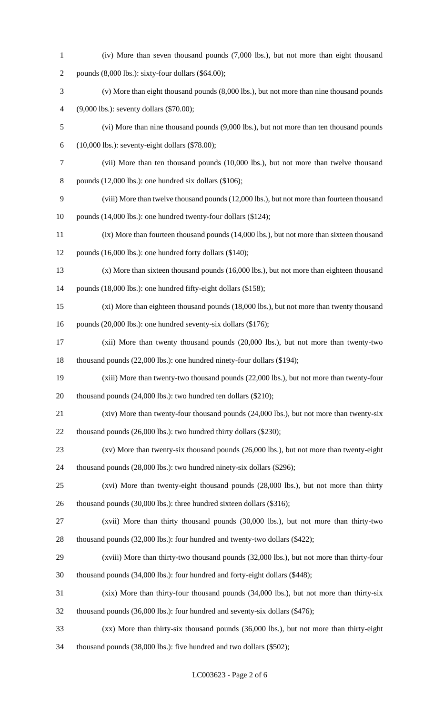| $\mathbf{1}$   | (iv) More than seven thousand pounds (7,000 lbs.), but not more than eight thousand           |
|----------------|-----------------------------------------------------------------------------------------------|
| $\overline{2}$ | pounds (8,000 lbs.): sixty-four dollars (\$64.00);                                            |
| 3              | (v) More than eight thousand pounds (8,000 lbs.), but not more than nine thousand pounds      |
| 4              | $(9,000$ lbs.): seventy dollars $(\$70.00)$ ;                                                 |
| 5              | (vi) More than nine thousand pounds (9,000 lbs.), but not more than ten thousand pounds       |
| 6              | $(10,000$ lbs.): seventy-eight dollars $(\$78.00)$ ;                                          |
| 7              | (vii) More than ten thousand pounds (10,000 lbs.), but not more than twelve thousand          |
| 8              | pounds $(12,000$ lbs.): one hundred six dollars $(\$106)$ ;                                   |
| 9              | (viii) More than twelve thousand pounds (12,000 lbs.), but not more than fourteen thousand    |
| 10             | pounds (14,000 lbs.): one hundred twenty-four dollars (\$124);                                |
| 11             | $(ix)$ More than fourteen thousand pounds $(14,000$ lbs.), but not more than sixteen thousand |
| 12             | pounds (16,000 lbs.): one hundred forty dollars (\$140);                                      |
| 13             | $(x)$ More than sixteen thousand pounds (16,000 lbs.), but not more than eighteen thousand    |
| 14             | pounds (18,000 lbs.): one hundred fifty-eight dollars (\$158);                                |
| 15             | (xi) More than eighteen thousand pounds (18,000 lbs.), but not more than twenty thousand      |
| 16             | pounds (20,000 lbs.): one hundred seventy-six dollars (\$176);                                |
| 17             | $(xii)$ More than twenty thousand pounds $(20,000$ lbs.), but not more than twenty-two        |
| 18             | thousand pounds (22,000 lbs.): one hundred ninety-four dollars (\$194);                       |
| 19             | (xiii) More than twenty-two thousand pounds (22,000 lbs.), but not more than twenty-four      |
| 20             | thousand pounds $(24,000$ lbs.): two hundred ten dollars $(\$210)$ ;                          |
| 21             | $(xiv)$ More than twenty-four thousand pounds $(24,000$ lbs.), but not more than twenty-six   |
| 22             | thousand pounds (26,000 lbs.): two hundred thirty dollars (\$230);                            |
| 23             | $(xv)$ More than twenty-six thousand pounds $(26,000$ lbs.), but not more than twenty-eight   |
| 24             | thousand pounds (28,000 lbs.): two hundred ninety-six dollars (\$296);                        |
| 25             | (xvi) More than twenty-eight thousand pounds (28,000 lbs.), but not more than thirty          |
| 26             | thousand pounds (30,000 lbs.): three hundred sixteen dollars (\$316);                         |
| 27             | (xvii) More than thirty thousand pounds (30,000 lbs.), but not more than thirty-two           |
| 28             | thousand pounds (32,000 lbs.): four hundred and twenty-two dollars (\$422);                   |
| 29             | (xviii) More than thirty-two thousand pounds (32,000 lbs.), but not more than thirty-four     |
| 30             | thousand pounds (34,000 lbs.): four hundred and forty-eight dollars (\$448);                  |
| 31             | (xix) More than thirty-four thousand pounds (34,000 lbs.), but not more than thirty-six       |
| 32             | thousand pounds (36,000 lbs.): four hundred and seventy-six dollars (\$476);                  |
| 33             | $(xx)$ More than thirty-six thousand pounds $(36,000$ lbs.), but not more than thirty-eight   |
| 34             | thousand pounds (38,000 lbs.): five hundred and two dollars (\$502);                          |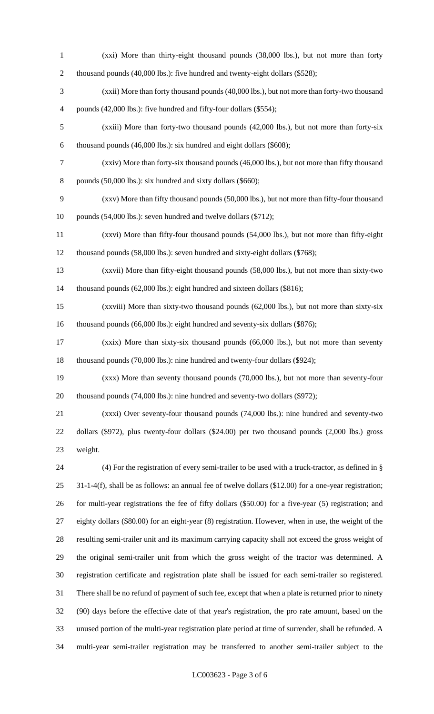- (xxi) More than thirty-eight thousand pounds (38,000 lbs.), but not more than forty 2 thousand pounds (40,000 lbs.): five hundred and twenty-eight dollars (\$528);
- (xxii) More than forty thousand pounds (40,000 lbs.), but not more than forty-two thousand 4 pounds (42,000 lbs.): five hundred and fifty-four dollars (\$554);
- (xxiii) More than forty-two thousand pounds (42,000 lbs.), but not more than forty-six thousand pounds (46,000 lbs.): six hundred and eight dollars (\$608);
- (xxiv) More than forty-six thousand pounds (46,000 lbs.), but not more than fifty thousand 8 pounds (50,000 lbs.): six hundred and sixty dollars (\$660);
- (xxv) More than fifty thousand pounds (50,000 lbs.), but not more than fifty-four thousand 10 pounds (54,000 lbs.): seven hundred and twelve dollars (\$712);
- (xxvi) More than fifty-four thousand pounds (54,000 lbs.), but not more than fifty-eight thousand pounds (58,000 lbs.): seven hundred and sixty-eight dollars (\$768);
- (xxvii) More than fifty-eight thousand pounds (58,000 lbs.), but not more than sixty-two 14 thousand pounds (62,000 lbs.): eight hundred and sixteen dollars (\$816);
- (xxviii) More than sixty-two thousand pounds (62,000 lbs.), but not more than sixty-six thousand pounds (66,000 lbs.): eight hundred and seventy-six dollars (\$876);
- (xxix) More than sixty-six thousand pounds (66,000 lbs.), but not more than seventy thousand pounds (70,000 lbs.): nine hundred and twenty-four dollars (\$924);
- (xxx) More than seventy thousand pounds (70,000 lbs.), but not more than seventy-four thousand pounds (74,000 lbs.): nine hundred and seventy-two dollars (\$972);
- (xxxi) Over seventy-four thousand pounds (74,000 lbs.): nine hundred and seventy-two dollars (\$972), plus twenty-four dollars (\$24.00) per two thousand pounds (2,000 lbs.) gross weight.
- (4) For the registration of every semi-trailer to be used with a truck-tractor, as defined in § 31-1-4(f), shall be as follows: an annual fee of twelve dollars (\$12.00) for a one-year registration; for multi-year registrations the fee of fifty dollars (\$50.00) for a five-year (5) registration; and eighty dollars (\$80.00) for an eight-year (8) registration. However, when in use, the weight of the resulting semi-trailer unit and its maximum carrying capacity shall not exceed the gross weight of the original semi-trailer unit from which the gross weight of the tractor was determined. A registration certificate and registration plate shall be issued for each semi-trailer so registered. There shall be no refund of payment of such fee, except that when a plate is returned prior to ninety (90) days before the effective date of that year's registration, the pro rate amount, based on the unused portion of the multi-year registration plate period at time of surrender, shall be refunded. A multi-year semi-trailer registration may be transferred to another semi-trailer subject to the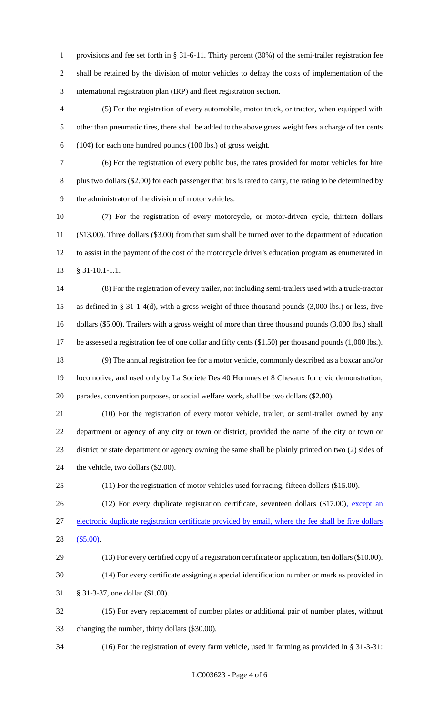provisions and fee set forth in § 31-6-11. Thirty percent (30%) of the semi-trailer registration fee shall be retained by the division of motor vehicles to defray the costs of implementation of the international registration plan (IRP) and fleet registration section.

 (5) For the registration of every automobile, motor truck, or tractor, when equipped with other than pneumatic tires, there shall be added to the above gross weight fees a charge of ten cents 6 (10 $\phi$ ) for each one hundred pounds (100 lbs.) of gross weight.

 (6) For the registration of every public bus, the rates provided for motor vehicles for hire 8 plus two dollars (\$2.00) for each passenger that bus is rated to carry, the rating to be determined by the administrator of the division of motor vehicles.

 (7) For the registration of every motorcycle, or motor-driven cycle, thirteen dollars (\$13.00). Three dollars (\$3.00) from that sum shall be turned over to the department of education to assist in the payment of the cost of the motorcycle driver's education program as enumerated in § 31-10.1-1.1.

 (8) For the registration of every trailer, not including semi-trailers used with a truck-tractor as defined in § 31-1-4(d), with a gross weight of three thousand pounds (3,000 lbs.) or less, five dollars (\$5.00). Trailers with a gross weight of more than three thousand pounds (3,000 lbs.) shall be assessed a registration fee of one dollar and fifty cents (\$1.50) per thousand pounds (1,000 lbs.). (9) The annual registration fee for a motor vehicle, commonly described as a boxcar and/or

 locomotive, and used only by La Societe Des 40 Hommes et 8 Chevaux for civic demonstration, parades, convention purposes, or social welfare work, shall be two dollars (\$2.00).

 (10) For the registration of every motor vehicle, trailer, or semi-trailer owned by any department or agency of any city or town or district, provided the name of the city or town or district or state department or agency owning the same shall be plainly printed on two (2) sides of the vehicle, two dollars (\$2.00).

(11) For the registration of motor vehicles used for racing, fifteen dollars (\$15.00).

26 (12) For every duplicate registration certificate, seventeen dollars (\$17.00), except an

 electronic duplicate registration certificate provided by email, where the fee shall be five dollars (\$5.00).

 (13) For every certified copy of a registration certificate or application, ten dollars (\$10.00). (14) For every certificate assigning a special identification number or mark as provided in

§ 31-3-37, one dollar (\$1.00).

 (15) For every replacement of number plates or additional pair of number plates, without changing the number, thirty dollars (\$30.00).

(16) For the registration of every farm vehicle, used in farming as provided in § 31-3-31: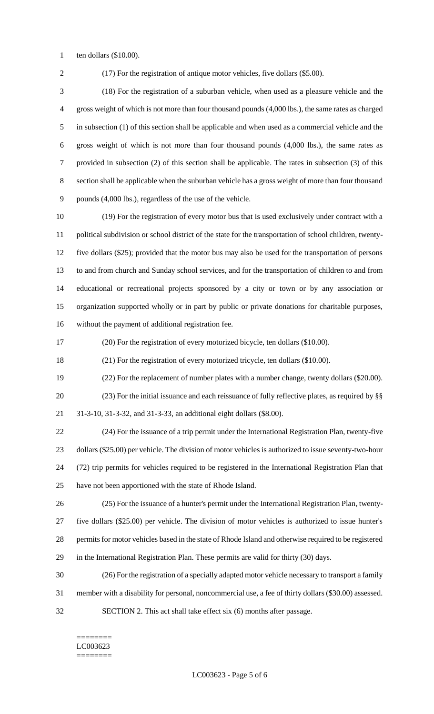ten dollars (\$10.00).

(17) For the registration of antique motor vehicles, five dollars (\$5.00).

 (18) For the registration of a suburban vehicle, when used as a pleasure vehicle and the gross weight of which is not more than four thousand pounds (4,000 lbs.), the same rates as charged in subsection (1) of this section shall be applicable and when used as a commercial vehicle and the gross weight of which is not more than four thousand pounds (4,000 lbs.), the same rates as provided in subsection (2) of this section shall be applicable. The rates in subsection (3) of this section shall be applicable when the suburban vehicle has a gross weight of more than four thousand pounds (4,000 lbs.), regardless of the use of the vehicle.

 (19) For the registration of every motor bus that is used exclusively under contract with a political subdivision or school district of the state for the transportation of school children, twenty- five dollars (\$25); provided that the motor bus may also be used for the transportation of persons to and from church and Sunday school services, and for the transportation of children to and from educational or recreational projects sponsored by a city or town or by any association or organization supported wholly or in part by public or private donations for charitable purposes, without the payment of additional registration fee.

(20) For the registration of every motorized bicycle, ten dollars (\$10.00).

(21) For the registration of every motorized tricycle, ten dollars (\$10.00).

 (22) For the replacement of number plates with a number change, twenty dollars (\$20.00). (23) For the initial issuance and each reissuance of fully reflective plates, as required by §§ 31-3-10, 31-3-32, and 31-3-33, an additional eight dollars (\$8.00).

 (24) For the issuance of a trip permit under the International Registration Plan, twenty-five dollars (\$25.00) per vehicle. The division of motor vehicles is authorized to issue seventy-two-hour (72) trip permits for vehicles required to be registered in the International Registration Plan that have not been apportioned with the state of Rhode Island.

 (25) For the issuance of a hunter's permit under the International Registration Plan, twenty- five dollars (\$25.00) per vehicle. The division of motor vehicles is authorized to issue hunter's permits for motor vehicles based in the state of Rhode Island and otherwise required to be registered in the International Registration Plan. These permits are valid for thirty (30) days.

(26) For the registration of a specially adapted motor vehicle necessary to transport a family

member with a disability for personal, noncommercial use, a fee of thirty dollars (\$30.00) assessed.

SECTION 2. This act shall take effect six (6) months after passage.

======== LC003623 ========